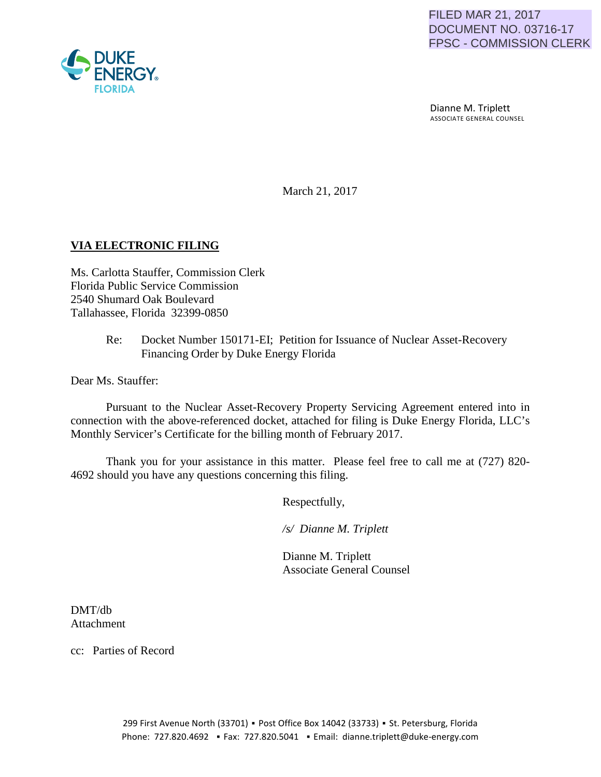

 Dianne M. Triplett ASSOCIATE GENERAL COUNSEL

March 21, 2017

## **VIA ELECTRONIC FILING**

Ms. Carlotta Stauffer, Commission Clerk Florida Public Service Commission 2540 Shumard Oak Boulevard Tallahassee, Florida 32399-0850

> Re: Docket Number 150171-EI; Petition for Issuance of Nuclear Asset-Recovery Financing Order by Duke Energy Florida

Dear Ms. Stauffer:

Pursuant to the Nuclear Asset-Recovery Property Servicing Agreement entered into in connection with the above-referenced docket, attached for filing is Duke Energy Florida, LLC's Monthly Servicer's Certificate for the billing month of February 2017.

Thank you for your assistance in this matter. Please feel free to call me at (727) 820- 4692 should you have any questions concerning this filing.

Respectfully,

 */s/ Dianne M. Triplett*

 Dianne M. Triplett Associate General Counsel

DMT/db Attachment

cc: Parties of Record

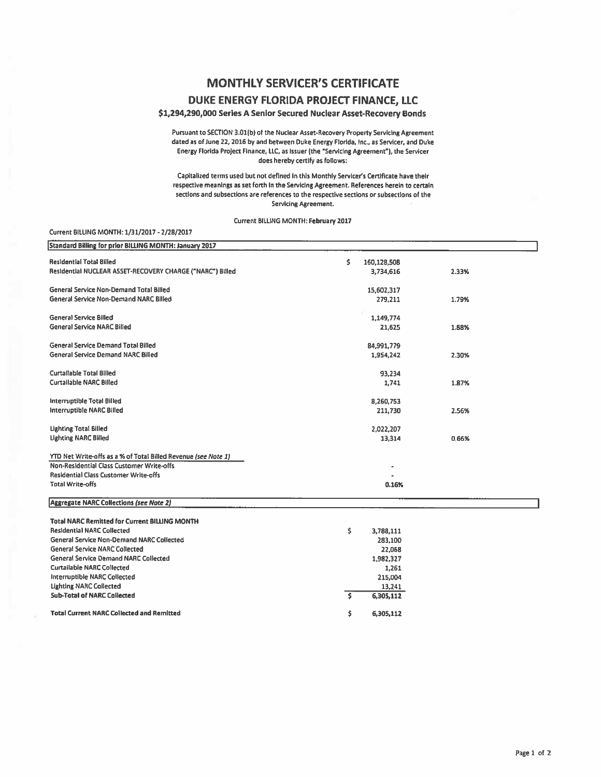## **MONTHLY SERVICER'S CERTIFICATE** DUKE ENERGY FLORIDA PROJECT FINANCE, LLC

## \$1,294,290,000 Series A Senior Secured Nuclear Asset-Recovery Bonds

Pursuant to SECTION 3.01(b) of the Nuclear Asset-Recovery Property Servicing Agreement dated as of June 22, 2016 by and between Duke Energy Florida, Inc., as Servicer, and Duke Energy Florida Project Finance, LLC, as Issuer (the "Servicing Agreement"), the Servicer does hereby certify as follows:

Capitalized terms used but not defined in this Monthly Servicer's Certificate have their respective meanings as set forth in the Servicing Agreement. References herein to certain sections and subsections are references to the respective sections or subsections of the **Servicing Agreement.** 

Current BILLING MONTH: February 2017

## Current BILLING MONTH: 1/31/2017 - 2/28/2017

| Standard Billing for prior BILLING MONTH: January 2017         |                  |       |
|----------------------------------------------------------------|------------------|-------|
| <b>Residential Total Billed</b>                                | Ś<br>160,128,508 |       |
| Residential NUCLEAR ASSET-RECOVERY CHARGE ("NARC") Billed      | 3,734,616        | 2.33% |
| General Service Non-Demand Total Billed                        | 15,602,317       |       |
| <b>General Service Non-Demand NARC Billed</b>                  | 279,211          | 1.79% |
| <b>General Service Billed</b>                                  | 1,149,774        |       |
| <b>General Service NARC Billed</b>                             | 21,625           | 1.88% |
| <b>General Service Demand Total Billed</b>                     | 84.991.779       |       |
| General Service Demand NARC Billed                             | 1,954,242        | 2.30% |
| <b>Curtaliable Total Billed</b>                                | 93,234           |       |
| Curtailable NARC Billed                                        | 1,741            | 1.87% |
| <b>Interruptible Total Billed</b>                              | 8,260,753        |       |
| <b>Interruptible NARC Billed</b>                               | 211,730          | 2.56% |
| <b>Lighting Total Billed</b>                                   | 2,022,207        |       |
| <b>Lighting NARC Billed</b>                                    | 13,314           | 0.66% |
| YTD Net Write-offs as a % of Total Billed Revenue (see Note 1) |                  |       |
| Non-Residential Class Customer Write-offs                      |                  |       |
| <b>Residential Class Customer Write-offs</b>                   |                  |       |
| <b>Total Write-offs</b>                                        | 0.16%            |       |
| Aggregate NARC Collections (see Note 2)                        |                  |       |
| <b>Total NARC Remitted for Current BILLING MONTH</b>           |                  |       |
| <b>Residential NARC Collected</b>                              | \$<br>3,788,111  |       |
| <b>General Service Non-Demand NARC Collected</b>               | 283,100          |       |
| <b>General Service NARC Collected</b>                          | 22,068           |       |
| <b>General Service Demand NARC Collected</b>                   | 1,982,327        |       |
| <b>Curtailable NARC Collected</b>                              | 1,261            |       |
| Interruptible NARC Collected                                   | 215,004          |       |
| <b>Lighting NARC Collected</b>                                 | 13,241           |       |
| <b>Sub-Total of NARC Collected</b>                             | ŝ.<br>6,305,112  |       |

\$.

6,305,112

**Total Current NARC Collected and Remitted**